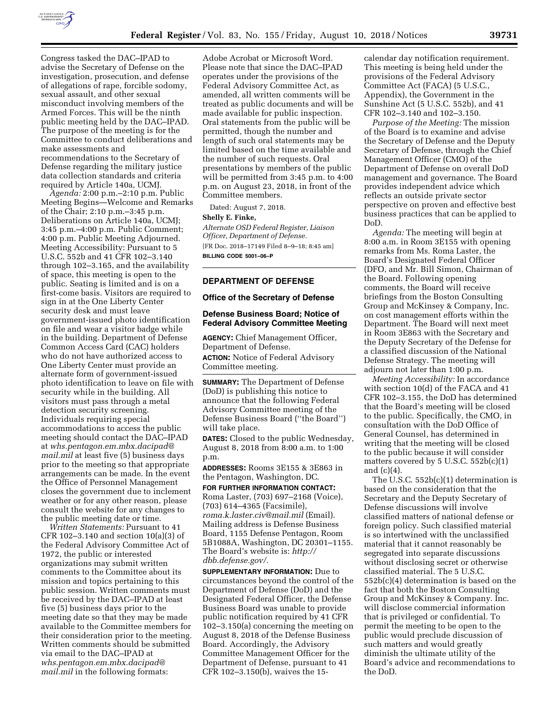

Congress tasked the DAC–IPAD to advise the Secretary of Defense on the investigation, prosecution, and defense of allegations of rape, forcible sodomy, sexual assault, and other sexual misconduct involving members of the Armed Forces. This will be the ninth public meeting held by the DAC–IPAD. The purpose of the meeting is for the Committee to conduct deliberations and make assessments and recommendations to the Secretary of Defense regarding the military justice data collection standards and criteria required by Article 140a, UCMJ.

*Agenda:* 2:00 p.m.–2:10 p.m. Public Meeting Begins—Welcome and Remarks of the Chair; 2:10 p.m.–3:45 p.m. Deliberations on Article 140a, UCMJ; 3:45 p.m.–4:00 p.m. Public Comment; 4:00 p.m. Public Meeting Adjourned. Meeting Accessibility: Pursuant to 5 U.S.C. 552b and 41 CFR 102–3.140 through 102–3.165, and the availability of space, this meeting is open to the public. Seating is limited and is on a first-come basis. Visitors are required to sign in at the One Liberty Center security desk and must leave government-issued photo identification on file and wear a visitor badge while in the building. Department of Defense Common Access Card (CAC) holders who do not have authorized access to One Liberty Center must provide an alternate form of government-issued photo identification to leave on file with security while in the building. All visitors must pass through a metal detection security screening. Individuals requiring special accommodations to access the public meeting should contact the DAC–IPAD at *[whs.pentagon.em.mbx.dacipad@](mailto:whs.pentagon.em.mbx.dacipad@mail.mil) [mail.mil](mailto:whs.pentagon.em.mbx.dacipad@mail.mil)* at least five (5) business days prior to the meeting so that appropriate arrangements can be made. In the event the Office of Personnel Management closes the government due to inclement weather or for any other reason, please consult the website for any changes to the public meeting date or time.

*Written Statements:* Pursuant to 41 CFR 102–3.140 and section 10(a)(3) of the Federal Advisory Committee Act of 1972, the public or interested organizations may submit written comments to the Committee about its mission and topics pertaining to this public session. Written comments must be received by the DAC–IPAD at least five (5) business days prior to the meeting date so that they may be made available to the Committee members for their consideration prior to the meeting. Written comments should be submitted via email to the DAC–IPAD at *[whs.pentagon.em.mbx.dacipad@](mailto:whs.pentagon.em.mbx.dacipad@mail.mil) [mail.mil](mailto:whs.pentagon.em.mbx.dacipad@mail.mil)* in the following formats:

Adobe Acrobat or Microsoft Word. Please note that since the DAC–IPAD operates under the provisions of the Federal Advisory Committee Act, as amended, all written comments will be treated as public documents and will be made available for public inspection. Oral statements from the public will be permitted, though the number and length of such oral statements may be limited based on the time available and the number of such requests. Oral presentations by members of the public will be permitted from 3:45 p.m. to 4:00 p.m. on August 23, 2018, in front of the Committee members.

Dated: August 7, 2018.

# **Shelly E. Finke,**

*Alternate OSD Federal Register, Liaison Officer, Department of Defense.*  [FR Doc. 2018–17149 Filed 8–9–18; 8:45 am] **BILLING CODE 5001–06–P** 

# **DEPARTMENT OF DEFENSE**

#### **Office of the Secretary of Defense**

#### **Defense Business Board; Notice of Federal Advisory Committee Meeting**

**AGENCY:** Chief Management Officer, Department of Defense. **ACTION:** Notice of Federal Advisory Committee meeting.

**SUMMARY:** The Department of Defense (DoD) is publishing this notice to announce that the following Federal Advisory Committee meeting of the Defense Business Board (''the Board'') will take place.

**DATES:** Closed to the public Wednesday, August 8, 2018 from 8:00 a.m. to 1:00 p.m.

**ADDRESSES:** Rooms 3E155 & 3E863 in the Pentagon, Washington, DC.

**FOR FURTHER INFORMATION CONTACT:**  Roma Laster, (703) 697–2168 (Voice), (703) 614–4365 (Facsimile), *[roma.k.laster.civ@mail.mil](mailto:roma.k.laster.civ@mail.mil)* (Email). Mailing address is Defense Business Board, 1155 Defense Pentagon, Room 5B1088A, Washington, DC 20301–1155. The Board's website is: *[http://](http://dbb.defense.gov/) [dbb.defense.gov/.](http://dbb.defense.gov/)* 

**SUPPLEMENTARY INFORMATION:** Due to circumstances beyond the control of the Department of Defense (DoD) and the Designated Federal Officer, the Defense Business Board was unable to provide public notification required by 41 CFR 102–3.150(a) concerning the meeting on August 8, 2018 of the Defense Business Board. Accordingly, the Advisory Committee Management Officer for the Department of Defense, pursuant to 41 CFR 102–3.150(b), waives the 15-

calendar day notification requirement. This meeting is being held under the provisions of the Federal Advisory Committee Act (FACA) (5 U.S.C., Appendix), the Government in the Sunshine Act (5 U.S.C. 552b), and 41 CFR 102–3.140 and 102–3.150.

*Purpose of the Meeting:* The mission of the Board is to examine and advise the Secretary of Defense and the Deputy Secretary of Defense, through the Chief Management Officer (CMO) of the Department of Defense on overall DoD management and governance. The Board provides independent advice which reflects an outside private sector perspective on proven and effective best business practices that can be applied to DoD.

*Agenda:* The meeting will begin at 8:00 a.m. in Room 3E155 with opening remarks from Ms. Roma Laster, the Board's Designated Federal Officer (DFO, and Mr. Bill Simon, Chairman of the Board. Following opening comments, the Board will receive briefings from the Boston Consulting Group and McKinsey & Company, Inc. on cost management efforts within the Department. The Board will next meet in Room 3E863 with the Secretary and the Deputy Secretary of the Defense for a classified discussion of the National Defense Strategy. The meeting will adjourn not later than 1:00 p.m.

*Meeting Accessibility:* In accordance with section 10(d) of the FACA and 41 CFR 102–3.155, the DoD has determined that the Board's meeting will be closed to the public. Specifically, the CMO, in consultation with the DoD Office of General Counsel, has determined in writing that the meeting will be closed to the public because it will consider matters covered by 5 U.S.C. 552b(c)(1) and (c)(4).

The U.S.C. 552b(c)(1) determination is based on the consideration that the Secretary and the Deputy Secretary of Defense discussions will involve classified matters of national defense or foreign policy. Such classified material is so intertwined with the unclassified material that it cannot reasonably be segregated into separate discussions without disclosing secret or otherwise classified material. The 5 U.S.C. 552b(c)(4) determination is based on the fact that both the Boston Consulting Group and McKinsey & Company. Inc. will disclose commercial information that is privileged or confidential. To permit the meeting to be open to the public would preclude discussion of such matters and would greatly diminish the ultimate utility of the Board's advice and recommendations to the DoD.